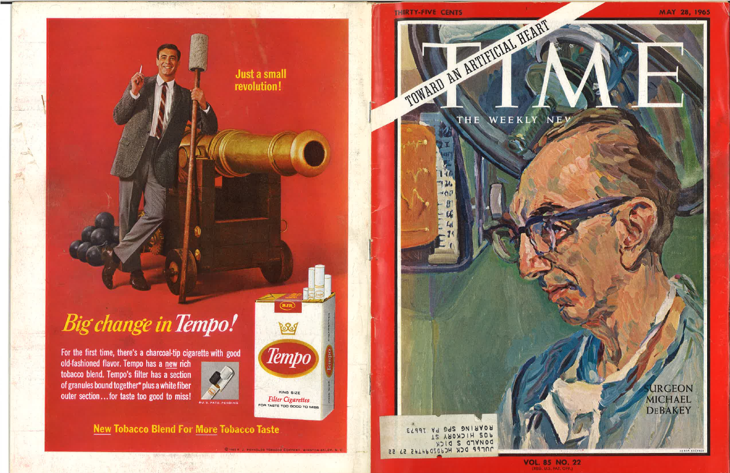

# **Big change in Tempo!**

For the first time, there's a charcoal-tip cigarette with good old-fashioned flavor. Tempo has a new rich tobacco blend. Tempo's filter has a section of granules bound together\* plus a white fiber outer section...for taste too good to miss!



Beg

Tempo

KING SIZE

**Filter Cigarettes** 

FOR TASTE TOO GOOD TO MISS

**New Tobacco Blend For More Tobacco Taste** 



BOVBING 260 6V TPP33



**VOL. 85 NO. 22**